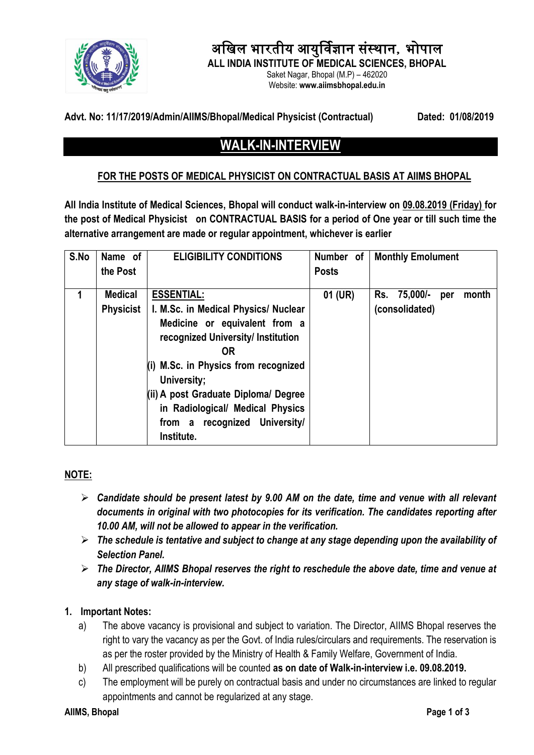

# अखिल भारतीय आयुर्विज्ञान संस्थान, भोपाल

**ALL INDIA INSTITUTE OF MEDICAL SCIENCES, BHOPAL**

Saket Nagar, Bhopal (M.P) – 462020 Website: **www.aiimsbhopal.edu.in**

#### **Advt. No: 11/17/2019/Admin/AIIMS/Bhopal/Medical Physicist (Contractual) Dated: 01/08/2019**

# **WALK-IN-INTERVIEW**

# **FOR THE POSTS OF MEDICAL PHYSICIST ON CONTRACTUAL BASIS AT AIIMS BHOPAL**

**All India Institute of Medical Sciences, Bhopal will conduct walk-in-interview on 09.08.2019 (Friday) for the post of Medical Physicist on CONTRACTUAL BASIS for a period of One year or till such time the alternative arrangement are made or regular appointment, whichever is earlier** 

| S.No | Name of          | <b>ELIGIBILITY CONDITIONS</b>                                                                                                                                                                                                                                                                          | Number of    | <b>Monthly Emolument</b>        |
|------|------------------|--------------------------------------------------------------------------------------------------------------------------------------------------------------------------------------------------------------------------------------------------------------------------------------------------------|--------------|---------------------------------|
|      | the Post         |                                                                                                                                                                                                                                                                                                        | <b>Posts</b> |                                 |
| 1    | <b>Medical</b>   | <b>ESSENTIAL:</b>                                                                                                                                                                                                                                                                                      | 01 (UR)      | 75,000/-<br>month<br>Rs.<br>per |
|      | <b>Physicist</b> | I. M.Sc. in Medical Physics/ Nuclear<br>Medicine or equivalent from a<br>recognized University/ Institution<br><b>OR</b><br>M.Sc. in Physics from recognized<br>University;<br>(ii) A post Graduate Diploma/ Degree<br>in Radiological/ Medical Physics<br>from a recognized University/<br>Institute. |              | (consolidated)                  |

# **NOTE:**

- *Candidate should be present latest by 9.00 AM on the date, time and venue with all relevant documents in original with two photocopies for its verification. The candidates reporting after 10.00 AM, will not be allowed to appear in the verification.*
- *The schedule is tentative and subject to change at any stage depending upon the availability of Selection Panel.*
- *The Director, AIIMS Bhopal reserves the right to reschedule the above date, time and venue at any stage of walk-in-interview.*

#### **1. Important Notes:**

- a) The above vacancy is provisional and subject to variation. The Director, AIIMS Bhopal reserves the right to vary the vacancy as per the Govt. of India rules/circulars and requirements. The reservation is as per the roster provided by the Ministry of Health & Family Welfare, Government of India.
- b) All prescribed qualifications will be counted **as on date of Walk-in-interview i.e. 09.08.2019.**
- c) The employment will be purely on contractual basis and under no circumstances are linked to regular appointments and cannot be regularized at any stage.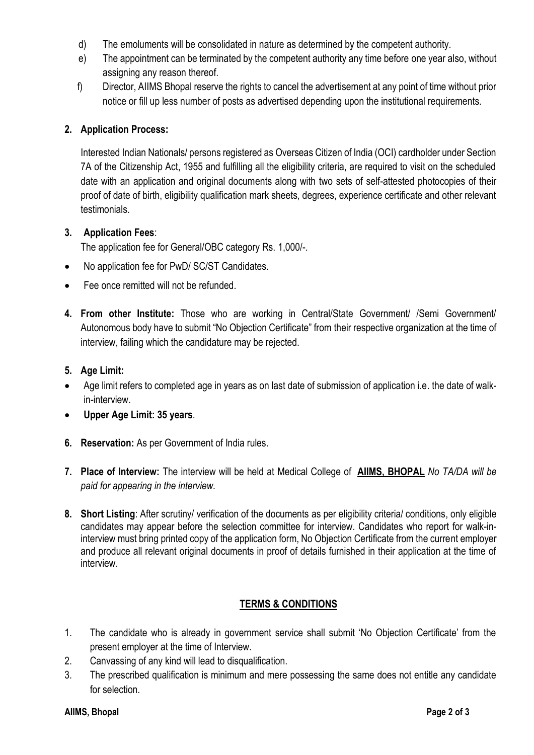- d) The emoluments will be consolidated in nature as determined by the competent authority.
- e) The appointment can be terminated by the competent authority any time before one year also, without assigning any reason thereof.
- f) Director, AIIMS Bhopal reserve the rights to cancel the advertisement at any point of time without prior notice or fill up less number of posts as advertised depending upon the institutional requirements.

#### **2. Application Process:**

Interested Indian Nationals/ persons registered as Overseas Citizen of India (OCI) cardholder under Section 7A of the Citizenship Act, 1955 and fulfilling all the eligibility criteria, are required to visit on the scheduled date with an application and original documents along with two sets of self-attested photocopies of their proof of date of birth, eligibility qualification mark sheets, degrees, experience certificate and other relevant **testimonials** 

#### **3. Application Fees**:

The application fee for General/OBC category Rs. 1,000/-.

- No application fee for PwD/ SC/ST Candidates.
- Fee once remitted will not be refunded.
- **4. From other Institute:** Those who are working in Central/State Government/ /Semi Government/ Autonomous body have to submit "No Objection Certificate" from their respective organization at the time of interview, failing which the candidature may be rejected.

#### **5. Age Limit:**

- Age limit refers to completed age in years as on last date of submission of application i.e. the date of walkin-interview.
- **Upper Age Limit: 35 years**.
- **6. Reservation:** As per Government of India rules.
- **7. Place of Interview:** The interview will be held at Medical College of **AIIMS, BHOPAL** *No TA/DA will be paid for appearing in the interview.*
- **8. Short Listing**: After scrutiny/ verification of the documents as per eligibility criteria/ conditions, only eligible candidates may appear before the selection committee for interview. Candidates who report for walk-ininterview must bring printed copy of the application form, No Objection Certificate from the current employer and produce all relevant original documents in proof of details furnished in their application at the time of interview.

# **TERMS & CONDITIONS**

- 1. The candidate who is already in government service shall submit 'No Objection Certificate' from the present employer at the time of Interview.
- 2. Canvassing of any kind will lead to disqualification.
- 3. The prescribed qualification is minimum and mere possessing the same does not entitle any candidate for selection.